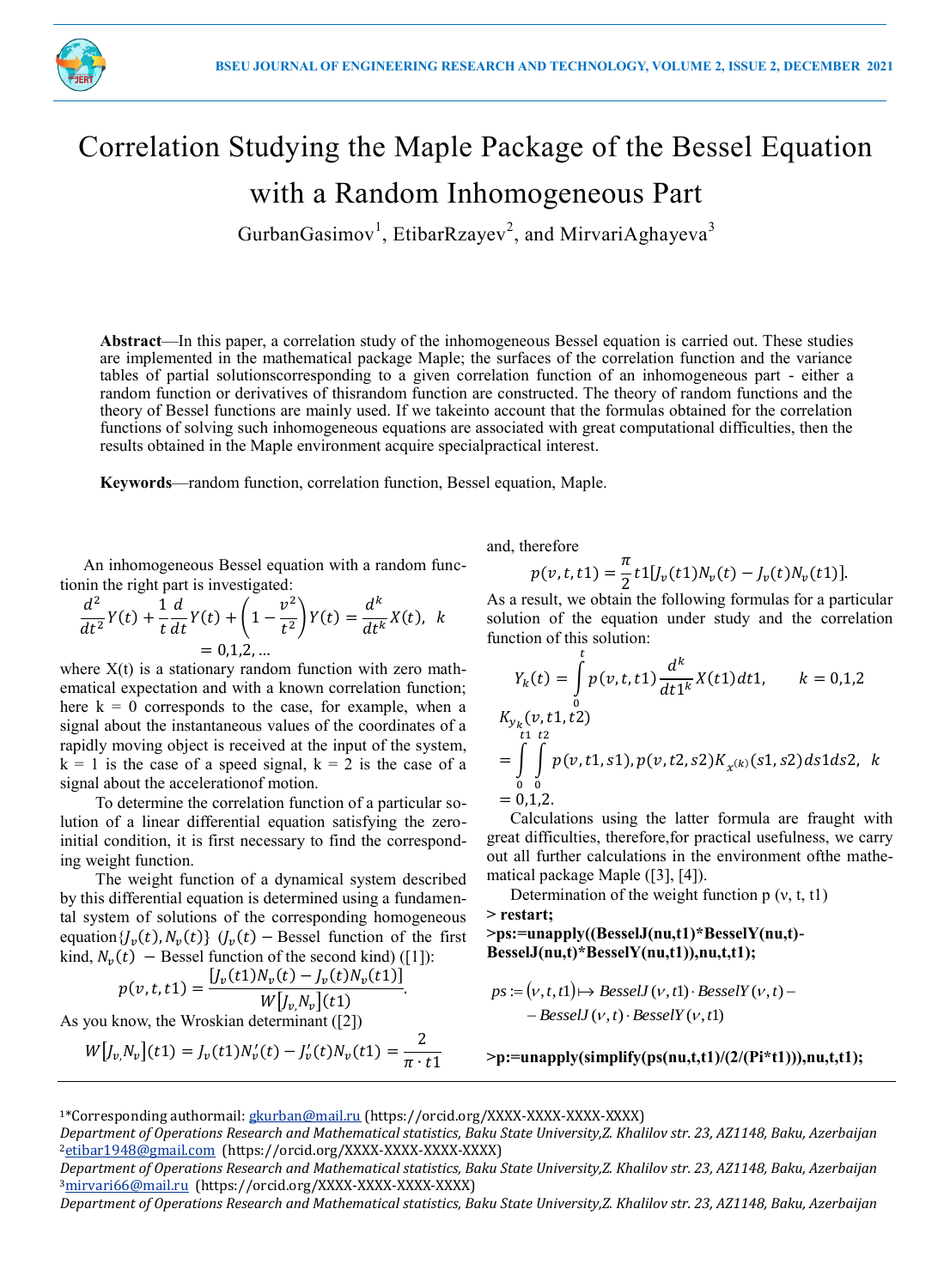

# Correlation Studying the Maple Package of the Bessel Equation with a Random Inhomogeneous Part

GurbanGasimov<sup>1</sup>, EtibarRzayev<sup>2</sup>, and MirvariAghayeva<sup>3</sup>

**Abstract**—In this paper, a correlation study of the inhomogeneous Bessel equation is carried out. These studies are implemented in the mathematical package Maple; the surfaces of the correlation function and the variance tables of partial solutionscorresponding to a given correlation function of an inhomogeneous part - either a random function or derivatives of thisrandom function are constructed. The theory of random functions and the theory of Bessel functions are mainly used. If we takeinto account that the formulas obtained for the correlation functions of solving such inhomogeneous equations are associated with great computational difficulties, then the results obtained in the Maple environment acquire specialpractical interest.

**Keywords**—random function, correlation function, Bessel equation, Maple.

An inhomogeneous Bessel equation with a random functionin the right part is investigated:

$$
\frac{d^2}{dt^2}Y(t) + \frac{1}{t}\frac{d}{dt}Y(t) + \left(1 - \frac{v^2}{t^2}\right)Y(t) = \frac{d^k}{dt^k}X(t), \ \ k = 0, 1, 2, \dots
$$

where  $X(t)$  is a stationary random function with zero mathematical expectation and with a known correlation function; here  $k = 0$  corresponds to the case, for example, when a signal about the instantaneous values of the coordinates of a rapidly moving object is received at the input of the system,  $k = 1$  is the case of a speed signal,  $k = 2$  is the case of a signal about the accelerationof motion.

To determine the correlation function of a particular solution of a linear differential equation satisfying the zeroinitial condition, it is first necessary to find the corresponding weight function.

The weight function of a dynamical system described by this differential equation is determined using a fundamental system of solutions of the corresponding homogeneous equation { $J_{\nu}(t)$ ,  $N_{\nu}(t)$ }  $(J_{\nu}(t)$  – Bessel function of the first kind,  $N_v(t)$  – Bessel function of the second kind) ([1]):

$$
p(v, t, t1) = \frac{[J_v(t1)N_v(t) - J_v(t)N_v(t1)]}{W[J_v, N_v](t1)}.
$$

As you know, the Wroskian determinant ([2])

$$
W[f_{v,}N_{v}](t1) = f_{v}(t1)N'_{v}(t) - f'_{v}(t)N_{v}(t1) = \frac{2}{\pi \cdot t1}
$$

and, therefore

$$
p(v,t,t1)=\frac{\pi}{2}t1[J_v(t1)N_v(t)-J_v(t)N_v(t1)].
$$

As a result, we obtain the following formulas for a particular solution of the equation under study and the correlation function of this solution:

$$
Y_k(t) = \int_0^t p(v, t, t) \frac{d^k}{dt \, 1^k} X(t) dt \, dt, \qquad k = 0, 1, 2
$$
\n
$$
K_{y_k}(v, t, 1, t^2)
$$
\n
$$
= \int_0^t \int_0^t p(v, t, 1, s, 1), p(v, t, 2, s, 2) K_{x^{(k)}}(s, 1, s, 2) ds \, ds \, ds, \qquad k = 0, 1, 2.
$$

Calculations using the latter formula are fraught with great difficulties, therefore,for practical usefulness, we carry out all further calculations in the environment ofthe mathematical package Maple ([3], [4]).

Determination of the weight function p (ν, t, t1)

#### **> restart;**

# **>ps:=unapply((BesselJ(nu,t1)\*BesselY(nu,t)- BesselJ(nu,t)\*BesselY(nu,t1)),nu,t,t1);**

$$
ps := (v, t, t]) \mapsto BesselJ(v, t]) \cdot BesselY(v, t) -
$$
  
- BesselJ(v, t) \cdot BesselY(v, t])

**>p:=unapply(simplify(ps(nu,t,t1)/(2/(Pi\*t1))),nu,t,t1);**

<sup>1</sup>\*Corresponding authormail: gkurban@mail.ru (https://orcid.org/XXXX-XXXX-XXXX-XXXX)

*Department of Operations Research and Mathematical statistics, Baku State University,Z. Khalilov str. 23, AZ1148, Baku, Azerbaijan* <sup>2</sup>etibar1948@gmail.com (https://orcid.org/XXXX-XXXX-XXXX-XXXX)

*Department of Operations Research and Mathematical statistics, Baku State University,Z. Khalilov str. 23, AZ1148, Baku, Azerbaijan* 3mirvari66@mail.ru (https://orcid.org/XXXX-XXXX-XXXX-XXXX)

*Department of Operations Research and Mathematical statistics, Baku State University,Z. Khalilov str. 23, AZ1148, Baku, Azerbaijan*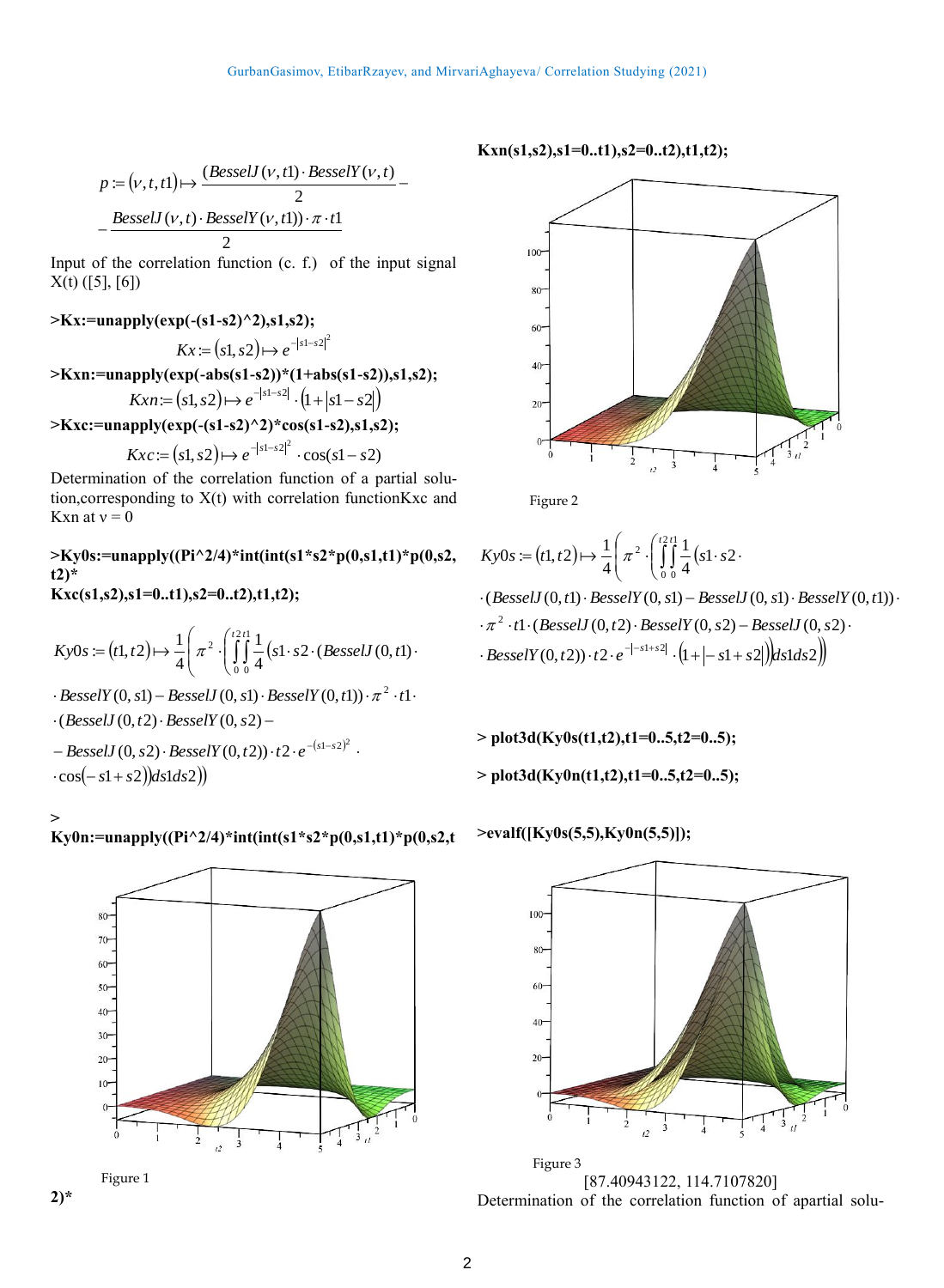$$
p := (v, t, t]) \mapsto \frac{(BesselJ(v, t)) \cdot BesselY(v, t)}{2} - \frac{BesselJ(v, t) \cdot BesselY(v, t)] \cdot \pi \cdot t}{2}
$$

Input of the correlation function (c. f.) of the input signal  $X(t)$  ([5], [6])

#### **>Kx:=unapply(exp(-(s1-s2)^2),s1,s2);**

$$
Kx := (s1, s2) \mapsto e^{-|s1-s2|^2}
$$

$$
>Kxn:=unapply(exp(-abs(s1-s2))*(1+abs(s1-s2)),s1,s2);
$$

$$
Kxn := (s1, s2) \mapsto e^{-|s1-s2|} \cdot (1+|s1-s2|)
$$

**>Kxc:=unapply(exp(-(s1-s2)^2)\*cos(s1-s2),s1,s2);**

$$
Kxc := (s1, s2) \mapsto e^{-|s1-s2|^2} \cdot \cos(s1-s2)
$$

Determination of the correlation function of a partial solution,corresponding to X(t) with correlation functionKxc and Kxn at  $v = 0$ 

#### **>Ky0s:=unapply((Pi^2/4)\*int(int(s1\*s2\*p(0,s1,t1)\*p(0,s2, t2)\* Kxc(s1,s2),s1=0..t1),s2=0..t2),t1,t2);**

$$
Ky0s := (t1, t2) \mapsto \frac{1}{4} \left( \pi^2 \cdot \left( \int_0^{t2t} \int_0^1 \frac{1}{4} \left( s1 \cdot s2 \cdot (BesselJ(0, t1) \cdot \right) \right) \right)
$$

 $BesselY(0, s1) - BesselY(0, s1) \cdot BesselY(0, t1)) \cdot \pi^2 \cdot t1$ 

 $\cdot$ (*BesselJ*  $(0, t2) \cdot$ *BesselY*  $(0, s2)$  –

 $-BesselJ\left( {0,s2} \right) \cdot BesselY\left( {0,t2} \right)) \cdot t2 \cdot {e^{ - \left( {s1 - s2} \right)^2 }} \,\, .$  $-cos(-s1+s2)$  $ds1ds2)$ 



# **Ky0n:=unapply((Pi^2/4)\*int(int(s1\*s2\*p(0,s1,t1)\*p(0,s2,t**





#### **Kxn(s1,s2),s1=0..t1),s2=0..t2),t1,t2);**



Figure 2

$$
Ky0s := (t1, t2) \mapsto \frac{1}{4} \left( \pi^2 \cdot \left( \int_0^{t2t} \frac{1}{4} (s1 \cdot s2 \cdot \right) \right)
$$

 $\cdot$  *BesselY* (0, t2))  $\cdot$  t2  $\cdot$  e<sup>-|-s1+s2|</sup>  $\cdot$  (1+|-s1+s2|)|ds1ds2||  $-\pi^2 \cdot t$ 1  $\cdot$  (*BesselJ*  $(0, t2) \cdot$  *BesselY*  $(0, s2)$  – *BesselJ*  $(0, s2) \cdot$  $\cdot$  (*BesselJ*  $(0, t1) \cdot$ *BesselY*  $(0, s1)$  – *BesselJ*  $(0, s1) \cdot$ *BesselY*  $(0, t1)$ )

**> plot3d(Ky0s(t1,t2),t1=0..5,t2=0..5);**

**> plot3d(Ky0n(t1,t2),t1=0..5,t2=0..5);**

#### **>evalf([Ky0s(5,5),Ky0n(5,5)]);**



[87.40943122, 114.7107820] Determination of the correlation function of apartial solu- Figure 3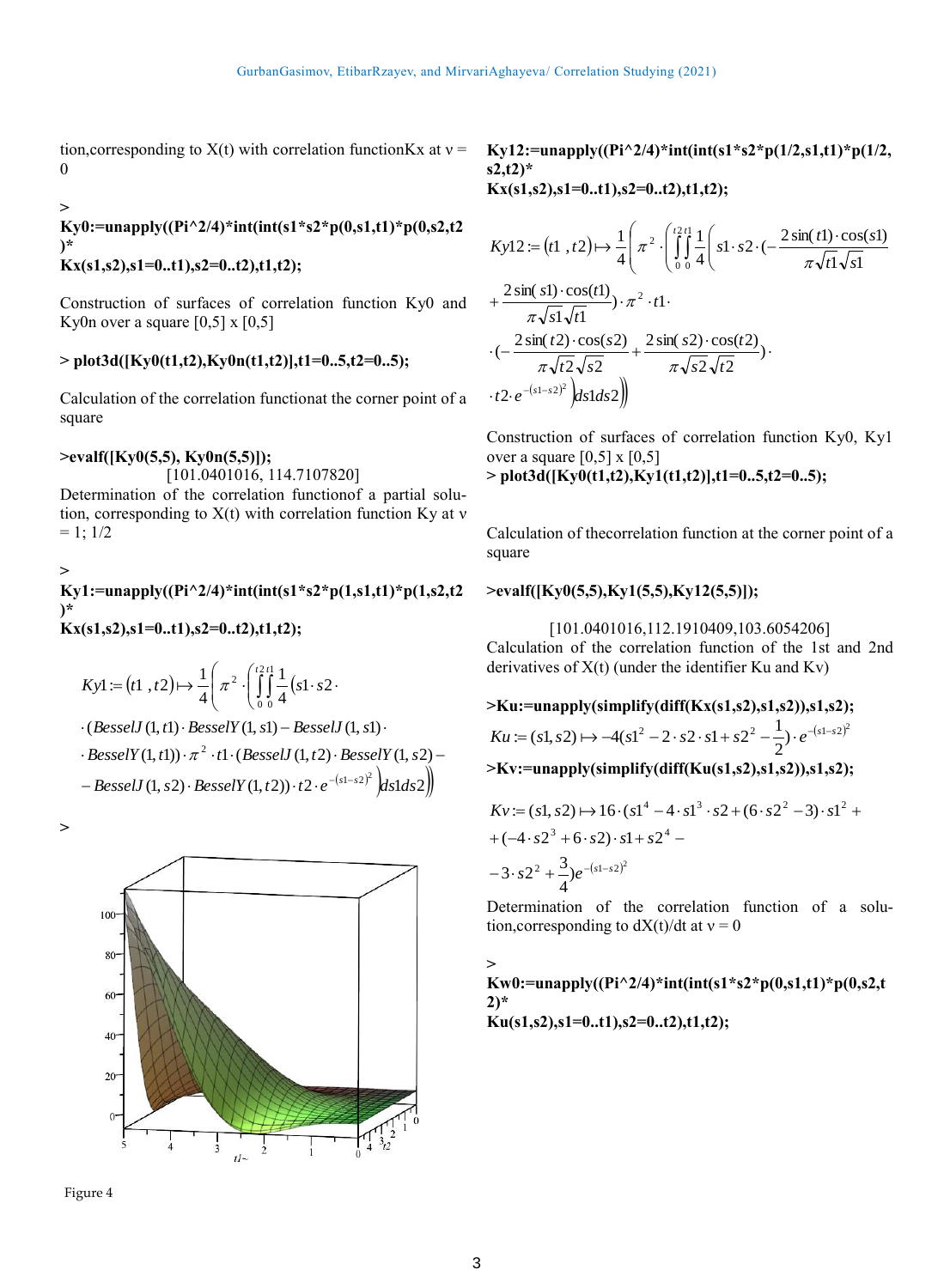tion, corresponding to  $X(t)$  with correlation function Kx at  $v =$ 0

#### **>**

# **Ky0:=unapply((Pi^2/4)\*int(int(s1\*s2\*p(0,s1,t1)\*p(0,s2,t2 )\***

# **Kx(s1,s2),s1=0..t1),s2=0..t2),t1,t2);**

Construction of surfaces of correlation function Ky0 and Ky0n over a square  $[0,5]$  x  $[0,5]$ 

# **> plot3d([Ky0(t1,t2),Ky0n(t1,t2)],t1=0..5,t2=0..5);**

Calculation of the correlation functionat the corner point of a square

# **>evalf([Ky0(5,5), Ky0n(5,5)]);**

[101.0401016, 114.7107820] Determination of the correlation functionof a partial solution, corresponding to  $X(t)$  with correlation function Ky at  $v$  $= 1$ ;  $1/2$ 

#### **> Ky1:=unapply((Pi^2/4)\*int(int(s1\*s2\*p(1,s1,t1)\*p(1,s2,t2 )\* Kx(s1,s2),s1=0..t1),s2=0..t2),t1,t2);**

$$
Kyl := (t1, t2) \mapsto \frac{1}{4} \left( \pi^2 \cdot \left( \int_0^{t2t} \frac{1}{4} (s1 \cdot s2 \cdot \right) \cdot (BesselJ(1, t1) \cdot BesselY(1, s1) - BesselJ(1, s1) \cdot \cdot BesselY(1, t1)) \cdot \pi^2 \cdot t1 \cdot (BesselJ(1, t2) \cdot BesselY(1, s2) - BesselJ(1, s2) \cdot BesselY(1, t2)) \cdot t2 \cdot e^{-(s1-s2)^2} \cdot ds1 ds2 \right)
$$

**>** 





#### **Ky12:=unapply((Pi^2/4)\*int(int(s1\*s2\*p(1/2,s1,t1)\*p(1/2, s2,t2)\* Kx(s1,s2),s1=0..t1),s2=0..t2),t1,t2);**

$$
Kyl2 := (t1, t2) \mapsto \frac{1}{4} \left( \pi^2 \cdot \left( \int_0^{t2t} \frac{1}{4} \left( s1 \cdot s2 \cdot \left( -\frac{2 \sin(t1) \cdot \cos(s1)}{\pi \sqrt{t1} \sqrt{s1}} \right) + \frac{2 \sin(s1) \cdot \cos(t1)}{\pi \sqrt{s1} \sqrt{t1}} \right) \cdot \pi^2 \cdot t1 \cdot \left( -\frac{2 \sin(t2) \cdot \cos(s2)}{\pi \sqrt{t2} \sqrt{s2}} + \frac{2 \sin(s2) \cdot \cos(t2)}{\pi \sqrt{s2} \sqrt{t2}} \right) \cdot t2 \cdot e^{-(s1-s2)^2} \left( ds1 ds2 \right)
$$

Construction of surfaces of correlation function Ky0, Ky1 over a square  $[0,5]$  x  $[0,5]$ 

**> plot3d([Ky0(t1,t2),Ky1(t1,t2)],t1=0..5,t2=0..5);**

Calculation of thecorrelation function at the corner point of a square

# **>evalf([Ky0(5,5),Ky1(5,5),Ky12(5,5)]);**

[101.0401016,112.1910409,103.6054206] Calculation of the correlation function of the 1st and 2nd derivatives of  $X(t)$  (under the identifier Ku and Kv)

>Ku:=unapply(simplify(diff(Kx(s1,s2),s1,s2)),s1,s2);  
\n
$$
Ku := (s1, s2) \mapsto -4(s1^2 - 2 \cdot s2 \cdot s1 + s2^2 - \frac{1}{2}) \cdot e^{-(s1-s2)^2}
$$
  
\n>>Kv:=unapply(simplify(diff(Ku(s1,s2),s1,s2)),s1,s2);

$$
Kv := (s1, s2) \mapsto 16 \cdot (s1^4 - 4 \cdot s1^3 \cdot s2 + (6 \cdot s2^2 - 3) \cdot s1^2 +
$$
  
+  $(-4 \cdot s2^3 + 6 \cdot s2) \cdot s1 + s2^4 -$   
 $-3 \cdot s2^2 + \frac{3}{4} e^{-(s1-s2)^2}$ 

Determination of the correlation function of a solution, corresponding to  $dX(t)/dt$  at  $v = 0$ 

**> Kw0:=unapply((Pi^2/4)\*int(int(s1\*s2\*p(0,s1,t1)\*p(0,s2,t 2)\* Ku(s1,s2),s1=0..t1),s2=0..t2),t1,t2);**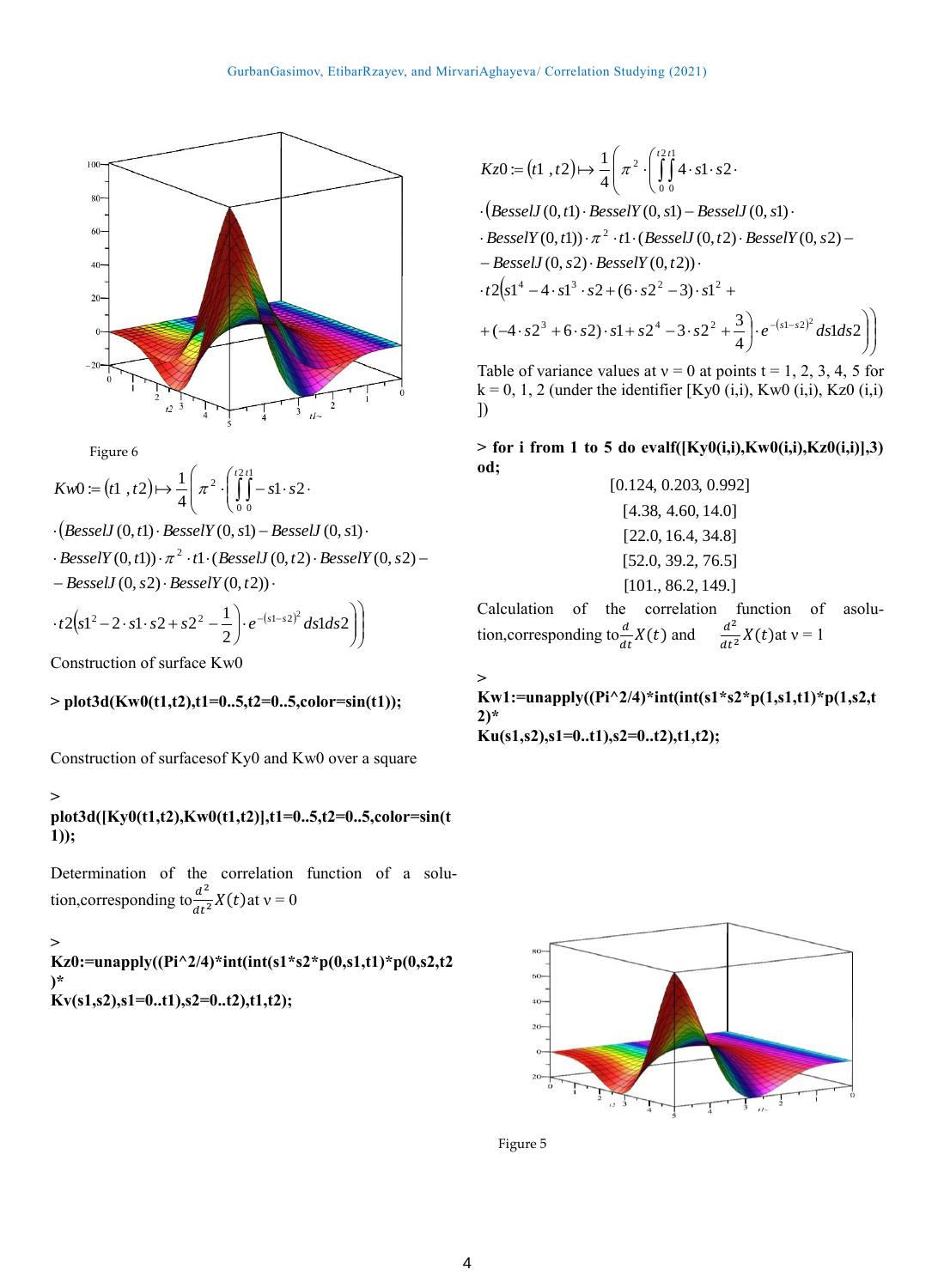

Figure 6

$$
Kw0 := (t1, t2) \mapsto \frac{1}{4} \left( \pi^2 \cdot \left( \int_0^{t2t} -s1 \cdot s2 \cdot \right) \right)
$$

- $\cdot$   $\left($ *BesselJ*  $(0, t1) \cdot$ *BesselY*  $(0, s1)$  *BesselJ*  $(0, s1) \cdot$
- $-BesselJ(0, s2) \cdot BesselY(0, t2)) \cdot$  $\cdot$  *BesselY*  $(0, t1)$ )  $\cdot \pi^2 \cdot t1 \cdot (BesselJ(0, t2) \cdot BesselY(0, s2) -$

$$
\cdot t2(s1^{2}-2\cdot s1\cdot s2+s2^{2}-\frac{1}{2})\cdot e^{-(s1-s2)^{2}}ds1ds2\bigg)\bigg)
$$

Construction of surface Kw0

**> plot3d(Kw0(t1,t2),t1=0..5,t2=0..5,color=sin(t1));**

Construction of surfacesof Ky0 and Kw0 over a square

# **>**

**plot3d([Ky0(t1,t2),Kw0(t1,t2)],t1=0..5,t2=0..5,color=sin(t 1));**

Determination of the correlation function of a solution, corresponding to  $\frac{d^2}{dt^2}X(t)$  at  $v = 0$ 

## **>**

**Kz0:=unapply((Pi^2/4)\*int(int(s1\*s2\*p(0,s1,t1)\*p(0,s2,t2 )\* Kv(s1,s2),s1=0..t1),s2=0..t2),t1,t2);**

$$
Kz0 := (t1, t2) \mapsto \frac{1}{4} \left( \pi^2 \cdot \left( \int_0^{t2t} 4 \cdot s1 \cdot s2 \cdot \right) \cdot \left( \text{Bessel } J(0, t1) \cdot \text{Bessel } Y(0, s1) - \text{Bessel } J(0, s1) \cdot \right) \cdot \text{Bessel } Y(0, t1) \cdot \pi^2 \cdot t1 \cdot (\text{Bessel } J(0, t2) \cdot \text{Bessel } Y(0, s2) - \text{Bessel } J(0, s2) \cdot \text{Bessel } Y(0, t2)) \cdot t2 \left( s1^4 - 4 \cdot s1^3 \cdot s2 + (6 \cdot s2^2 - 3) \cdot s1^2 + \right. \\
\left. + (-4 \cdot s2^3 + 6 \cdot s2) \cdot s1 + s2^4 - 3 \cdot s2^2 + \frac{3}{4} \right) \cdot e^{-(s1 - s2)^2} ds1 ds2 \right)
$$

Table of variance values at  $v = 0$  at points  $t = 1, 2, 3, 4, 5$  for  $k = 0, 1, 2$  (under the identifier [Ky0 (i,i), Kw0 (i,i), Kz0 (i,i) ])

 $>$  for i from 1 to 5 do evalf( $[Ky0(i,i),Kw0(i,i),Kz0(i,i)]$ ,3) **od;**

$$
[0.124, 0.203, 0.992]
$$
  
\n
$$
[4.38, 4.60, 14.0]
$$
  
\n
$$
[22.0, 16.4, 34.8]
$$
  
\n
$$
[52.0, 39.2, 76.5]
$$
  
\n
$$
[101., 86.2, 149.]
$$

Calculation of the correlation function of asolution, corresponding to  $\frac{d}{dt}X(t)$  and  $\frac{d^2}{dt^2}X(t)$  at  $v = 1$ 

**> Kw1:=unapply((Pi^2/4)\*int(int(s1\*s2\*p(1,s1,t1)\*p(1,s2,t 2)\* Ku(s1,s2),s1=0..t1),s2=0..t2),t1,t2);**



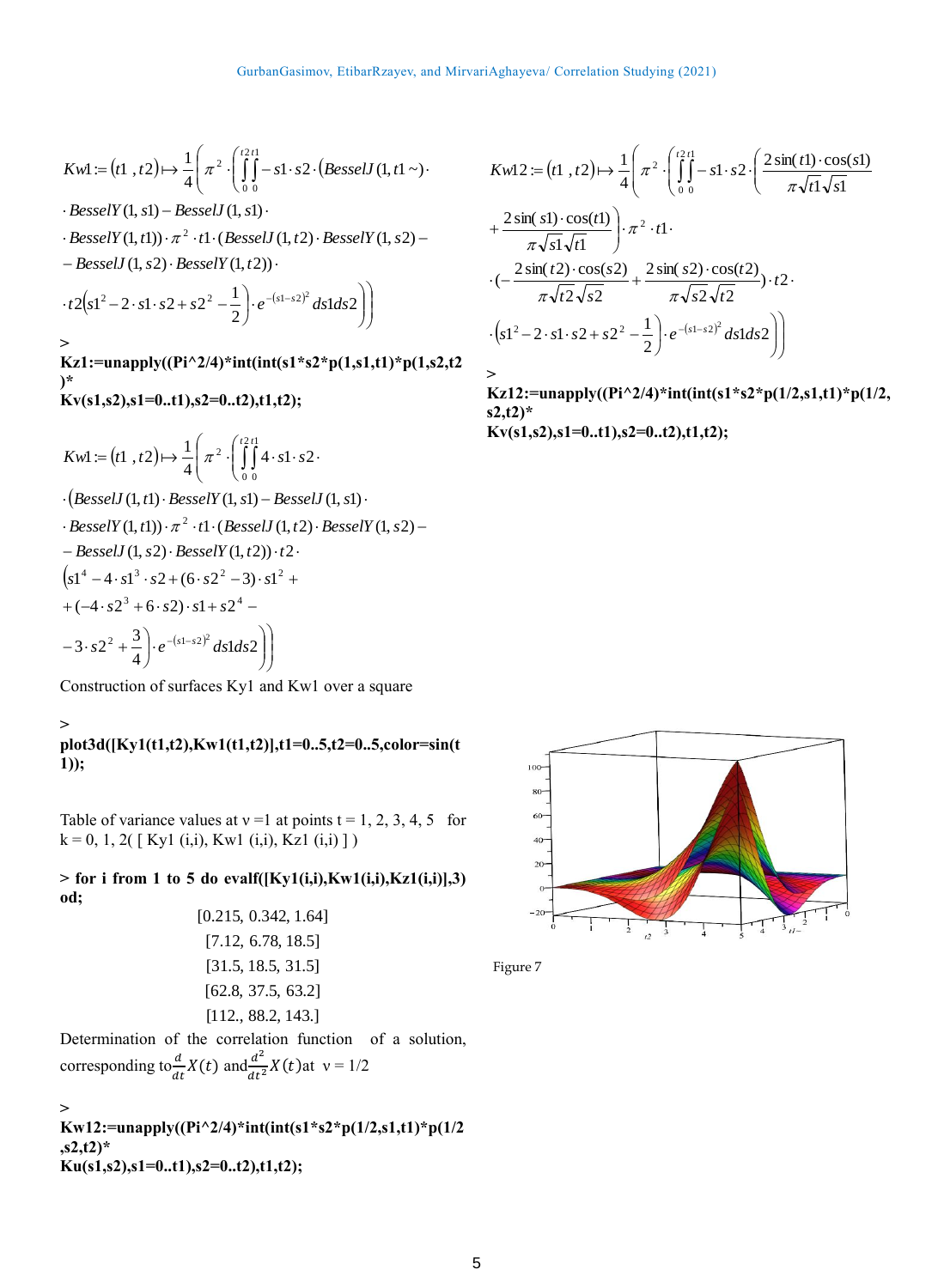$$
Kwl := (t1, t2) \mapsto \frac{1}{4} \left( \pi^2 \cdot \left( \int_0^{t2t} -s1 \cdot s2 \cdot (BesselJ(1, t1 \sim)) \right) \right)
$$

 $BesselY(1, s1) - BesselJ(1, s1)$ 

 $\cdot$  *BesselY*(1, t1))  $\cdot \pi^2 \cdot t$ 1  $\cdot$  (*BesselJ*(1, t2)  $\cdot$  *BesselY*(1, s2) –

 $-BesselJ(1, s2) \cdot BesselY(1, t2)) \cdot$ 

$$
\cdot t2(s1^{2}-2\cdot s1\cdot s2+s2^{2}-\frac{1}{2})\cdot e^{-(s1-s2)^{2}}ds1ds2\bigg)
$$

**Kz1:=unapply((Pi^2/4)\*int(int(s1\*s2\*p(1,s1,t1)\*p(1,s2,t2 )\* Kv(s1,s2),s1=0..t1),s2=0..t2),t1,t2);**

$$
Kwl := (t1, t2) \mapsto \frac{1}{4} \left( \pi^2 \cdot \left( \int_0^{t2t} 4 \cdot s1 \cdot s2 \cdot \right) \cdot \left( \text{Bessel } J(1, t1) \cdot \text{Bessel } Y(1, s1) - \text{Bessel } J(1, s1) \cdot \right) \cdot \text{Bessel } Y(1, t1) \cdot \pi^2 \cdot t1 \cdot (\text{Bessel } J(1, t2) \cdot \text{Bessel } Y(1, s2) - \text{Bessel } J(1, s2) \cdot \text{Bessel } Y(1, t2) \cdot t2 \cdot \left( s1^4 - 4 \cdot s1^3 \cdot s2 + (6 \cdot s2^2 - 3) \cdot s1^2 + \right. \left. + (-4 \cdot s2^3 + 6 \cdot s2) \cdot s1 + s2^4 - \right.
$$
\n
$$
-3 \cdot s2^2 + \frac{3}{4} \cdot e^{-(s1 - s2)^2} \, ds1 ds2 \right)
$$

Construction of surfaces Ky1 and Kw1 over a square

#### **>**

**>** 

**plot3d([Ky1(t1,t2),Kw1(t1,t2)],t1=0..5,t2=0..5,color=sin(t 1));**

Table of variance values at  $v = 1$  at points  $t = 1, 2, 3, 4, 5$  for  $k = 0, 1, 2($  [ Ky1 (i,i), Kw1 (i,i), Kz1 (i,i) ])

**> for i from 1 to 5 do evalf([Ky1(i,i),Kw1(i,i),Kz1(i,i)],3) od;**

[112., 88.2, 143.] [62.8, 37.5, 63.2] [31.5, 18.5, 31.5] [7.12, 6.78, 18.5] [0.215, 0.342, 1.64]

Determination of the correlation function of a solution, corresponding to  $\frac{d}{dt}X(t)$  and  $\frac{d^2}{dt^2}X(t)$  at  $v = 1/2$ 

**> Kw12:=unapply((Pi^2/4)\*int(int(s1\*s2\*p(1/2,s1,t1)\*p(1/2 ,s2,t2)\* Ku(s1,s2),s1=0..t1),s2=0..t2),t1,t2);**

$$
Kw12 := (t1, t2) \mapsto \frac{1}{4} \left( \pi^2 \cdot \left( \int_0^{t2} \int_0^{t2} -s1 \cdot s2 \cdot \left( \frac{2 \sin(t1) \cdot \cos(s1)}{\pi \sqrt{t1} \sqrt{s1}} \right) \cdot \pi^2 \cdot t1 \cdot \frac{2 \sin(t2) \cdot \cos(t1)}{\pi \sqrt{t2} \sqrt{s2}} \right) \cdot \pi^2 \cdot t1 \cdot \frac{2 \sin(t2) \cdot \cos(s2)}{\pi \sqrt{t2} \sqrt{s2}} + \frac{2 \sin(s2) \cdot \cos(t2)}{\pi \sqrt{s2} \sqrt{t2}} \cdot t2 \cdot \left( s1^2 - 2 \cdot s1 \cdot s2 + s2^2 - \frac{1}{2} \right) \cdot e^{-(s1 - s2)^2} ds1 ds2 \right)
$$

**>** 

**Kz12:=unapply((Pi^2/4)\*int(int(s1\*s2\*p(1/2,s1,t1)\*p(1/2, s2,t2)\* Kv(s1,s2),s1=0..t1),s2=0..t2),t1,t2);**



Figure 7